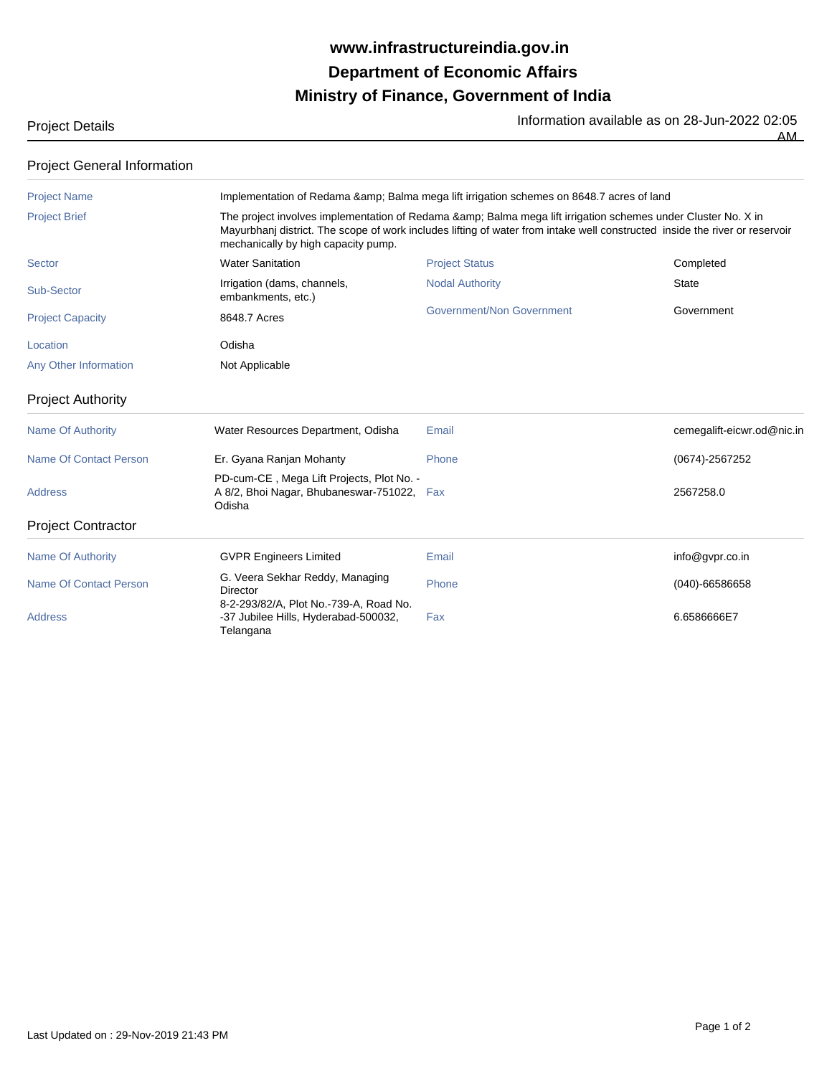## **Ministry of Finance, Government of India Department of Economic Affairs www.infrastructureindia.gov.in**

|  | Fiuject Details |  |
|--|-----------------|--|
|  |                 |  |

Project General Information

| <b>Project Name</b>       |                                                                                               | Implementation of Redama & Balma mega lift irrigation schemes on 8648.7 acres of land                                                                                                                                                    |                            |  |  |  |
|---------------------------|-----------------------------------------------------------------------------------------------|------------------------------------------------------------------------------------------------------------------------------------------------------------------------------------------------------------------------------------------|----------------------------|--|--|--|
| <b>Project Brief</b>      | mechanically by high capacity pump.                                                           | The project involves implementation of Redama & Balma mega lift irrigation schemes under Cluster No. X in<br>Mayurbhanj district. The scope of work includes lifting of water from intake well constructed inside the river or reservoir |                            |  |  |  |
| <b>Sector</b>             | <b>Water Sanitation</b>                                                                       | <b>Project Status</b>                                                                                                                                                                                                                    | Completed                  |  |  |  |
| Sub-Sector                | Irrigation (dams, channels,<br>embankments, etc.)                                             | <b>Nodal Authority</b>                                                                                                                                                                                                                   | <b>State</b>               |  |  |  |
| <b>Project Capacity</b>   | 8648.7 Acres                                                                                  | <b>Government/Non Government</b>                                                                                                                                                                                                         | Government                 |  |  |  |
| Location                  | Odisha                                                                                        |                                                                                                                                                                                                                                          |                            |  |  |  |
| Any Other Information     | Not Applicable                                                                                |                                                                                                                                                                                                                                          |                            |  |  |  |
| <b>Project Authority</b>  |                                                                                               |                                                                                                                                                                                                                                          |                            |  |  |  |
| <b>Name Of Authority</b>  | Water Resources Department, Odisha                                                            | Email                                                                                                                                                                                                                                    | cemegalift-eicwr.od@nic.in |  |  |  |
| Name Of Contact Person    | Er. Gyana Ranjan Mohanty                                                                      | Phone                                                                                                                                                                                                                                    | $(0674) - 2567252$         |  |  |  |
| <b>Address</b>            | PD-cum-CE, Mega Lift Projects, Plot No. -<br>A 8/2, Bhoi Nagar, Bhubaneswar-751022,<br>Odisha | Fax                                                                                                                                                                                                                                      | 2567258.0                  |  |  |  |
| <b>Project Contractor</b> |                                                                                               |                                                                                                                                                                                                                                          |                            |  |  |  |
| Name Of Authority         | <b>GVPR Engineers Limited</b>                                                                 | Email                                                                                                                                                                                                                                    | info@gvpr.co.in            |  |  |  |
| Name Of Contact Person    | G. Veera Sekhar Reddy, Managing<br>Director                                                   | Phone                                                                                                                                                                                                                                    | $(040) - 66586658$         |  |  |  |
| Address                   | 8-2-293/82/A, Plot No.-739-A, Road No.<br>-37 Jubilee Hills, Hyderabad-500032,<br>Telangana   | Fax                                                                                                                                                                                                                                      | 6.6586666E7                |  |  |  |